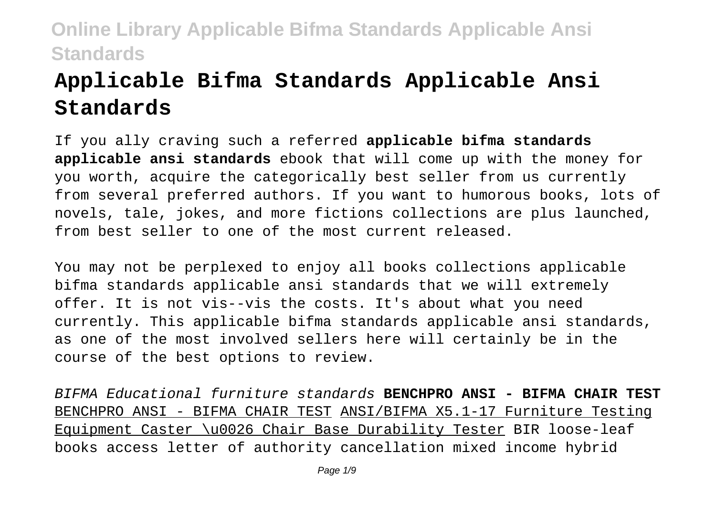# **Applicable Bifma Standards Applicable Ansi Standards**

If you ally craving such a referred **applicable bifma standards applicable ansi standards** ebook that will come up with the money for you worth, acquire the categorically best seller from us currently from several preferred authors. If you want to humorous books, lots of novels, tale, jokes, and more fictions collections are plus launched, from best seller to one of the most current released.

You may not be perplexed to enjoy all books collections applicable bifma standards applicable ansi standards that we will extremely offer. It is not vis--vis the costs. It's about what you need currently. This applicable bifma standards applicable ansi standards, as one of the most involved sellers here will certainly be in the course of the best options to review.

BIFMA Educational furniture standards **BENCHPRO ANSI - BIFMA CHAIR TEST** BENCHPRO ANSI - BIFMA CHAIR TEST ANSI/BIFMA X5.1-17 Furniture Testing Equipment Caster \u0026 Chair Base Durability Tester BIR loose-leaf books access letter of authority cancellation mixed income hybrid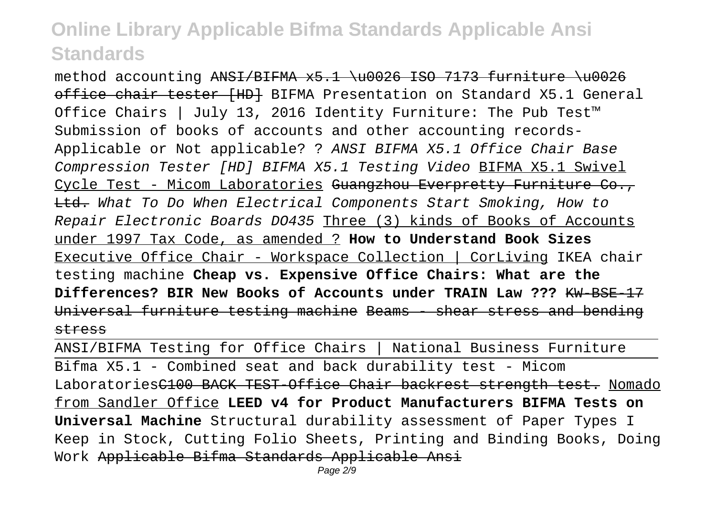method accounting  $ANSI/BIFMA x5.1 \u0026 ISO 7173 furnixture \u0026$ office chair tester (HD) BIFMA Presentation on Standard X5.1 General Office Chairs | July 13, 2016 Identity Furniture: The Pub Test™ Submission of books of accounts and other accounting records-Applicable or Not applicable? ? ANSI BIFMA X5.1 Office Chair Base Compression Tester [HD] BIFMA X5.1 Testing Video BIFMA X5.1 Swivel Cycle Test - Micom Laboratories <del>Guangzhou Everpretty Furniture Co.,</del> Ltd. What To Do When Electrical Components Start Smoking, How to Repair Electronic Boards DO435 Three (3) kinds of Books of Accounts under 1997 Tax Code, as amended ? **How to Understand Book Sizes** Executive Office Chair - Workspace Collection | CorLiving IKEA chair testing machine **Cheap vs. Expensive Office Chairs: What are the Differences? BIR New Books of Accounts under TRAIN Law ???** KW-BSE-17 Universal furniture testing machine Beams - shear stress and bending stress

ANSI/BIFMA Testing for Office Chairs | National Business Furniture Bifma X5.1 - Combined seat and back durability test - Micom LaboratoriesC100 BACK TEST Office Chair backrest strength test. Nomado from Sandler Office **LEED v4 for Product Manufacturers BIFMA Tests on Universal Machine** Structural durability assessment of Paper Types I Keep in Stock, Cutting Folio Sheets, Printing and Binding Books, Doing Work Applicable Bifma Standards Applicable Ansi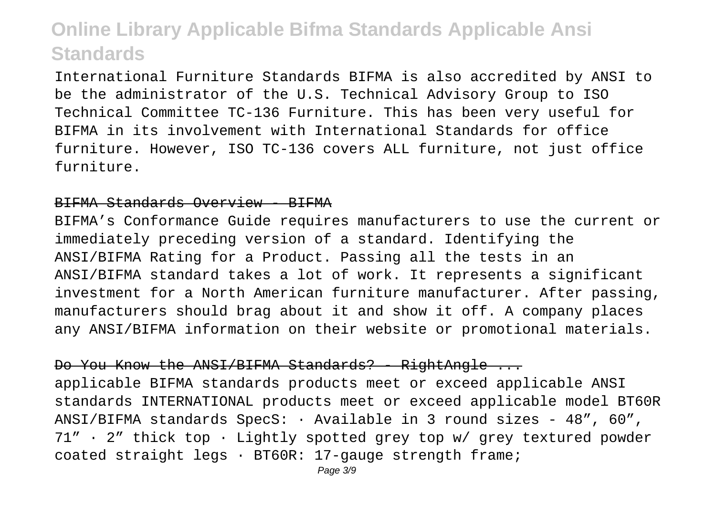International Furniture Standards BIFMA is also accredited by ANSI to be the administrator of the U.S. Technical Advisory Group to ISO Technical Committee TC-136 Furniture. This has been very useful for BIFMA in its involvement with International Standards for office furniture. However, ISO TC-136 covers ALL furniture, not just office furniture.

#### BIFMA Standards Overview - BIFMA

BIFMA's Conformance Guide requires manufacturers to use the current or immediately preceding version of a standard. Identifying the ANSI/BIFMA Rating for a Product. Passing all the tests in an ANSI/BIFMA standard takes a lot of work. It represents a significant investment for a North American furniture manufacturer. After passing, manufacturers should brag about it and show it off. A company places any ANSI/BIFMA information on their website or promotional materials.

#### Do You Know the ANSI/BIFMA Standards? - RightAngle ...

applicable BIFMA standards products meet or exceed applicable ANSI standards INTERNATIONAL products meet or exceed applicable model BT60R ANSI/BIFMA standards  $SpecS: \cdot$  Available in 3 round sizes - 48", 60", 71" · 2" thick top · Lightly spotted grey top w/ grey textured powder coated straight legs · BT60R: 17-gauge strength frame;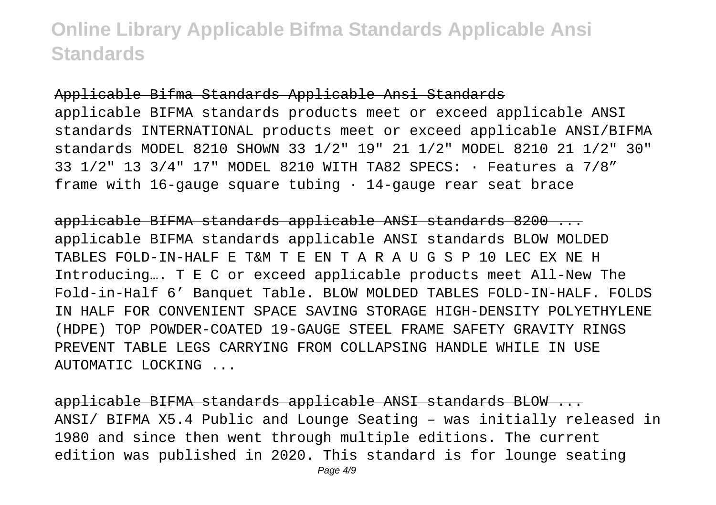Applicable Bifma Standards Applicable Ansi Standards applicable BIFMA standards products meet or exceed applicable ANSI standards INTERNATIONAL products meet or exceed applicable ANSI/BIFMA standards MODEL 8210 SHOWN 33 1/2" 19" 21 1/2" MODEL 8210 21 1/2" 30" 33 1/2" 13 3/4" 17" MODEL 8210 WITH TA82 SPECS: · Features a 7/8" frame with 16-gauge square tubing  $\cdot$  14-gauge rear seat brace

applicable BIFMA standards applicable ANSI standards 8200 ... applicable BIFMA standards applicable ANSI standards BLOW MOLDED TABLES FOLD-IN-HALF E T&M T E EN T A R A U G S P 10 LEC EX NE H Introducing…. T E C or exceed applicable products meet All-New The Fold-in-Half 6' Banquet Table. BLOW MOLDED TABLES FOLD-IN-HALF. FOLDS IN HALF FOR CONVENIENT SPACE SAVING STORAGE HIGH-DENSITY POLYETHYLENE (HDPE) TOP POWDER-COATED 19-GAUGE STEEL FRAME SAFETY GRAVITY RINGS PREVENT TABLE LEGS CARRYING FROM COLLAPSING HANDLE WHILE IN USE AUTOMATIC LOCKING ...

applicable BIFMA standards applicable ANSI standards BLOW ... ANSI/ BIFMA X5.4 Public and Lounge Seating – was initially released in 1980 and since then went through multiple editions. The current edition was published in 2020. This standard is for lounge seating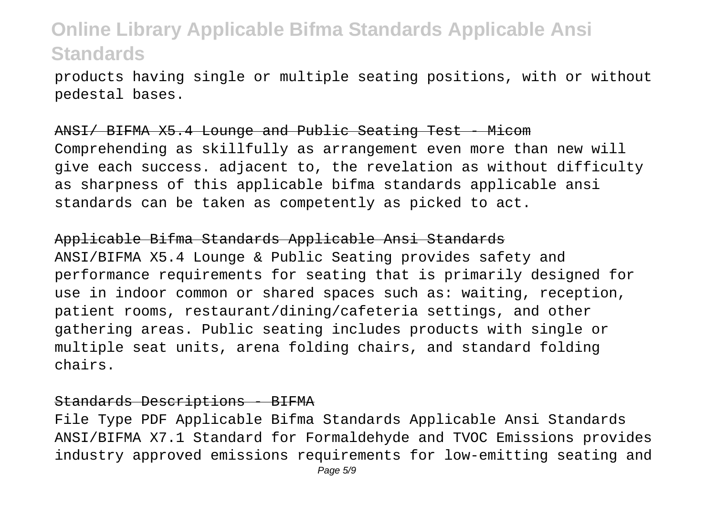products having single or multiple seating positions, with or without pedestal bases.

#### ANSI/ BIFMA X5.4 Lounge and Public Seating Test - Micom

Comprehending as skillfully as arrangement even more than new will give each success. adjacent to, the revelation as without difficulty as sharpness of this applicable bifma standards applicable ansi standards can be taken as competently as picked to act.

#### Applicable Bifma Standards Applicable Ansi Standards

ANSI/BIFMA X5.4 Lounge & Public Seating provides safety and performance requirements for seating that is primarily designed for use in indoor common or shared spaces such as: waiting, reception, patient rooms, restaurant/dining/cafeteria settings, and other gathering areas. Public seating includes products with single or multiple seat units, arena folding chairs, and standard folding chairs.

#### Standards Descriptions - BIFMA

File Type PDF Applicable Bifma Standards Applicable Ansi Standards ANSI/BIFMA X7.1 Standard for Formaldehyde and TVOC Emissions provides industry approved emissions requirements for low-emitting seating and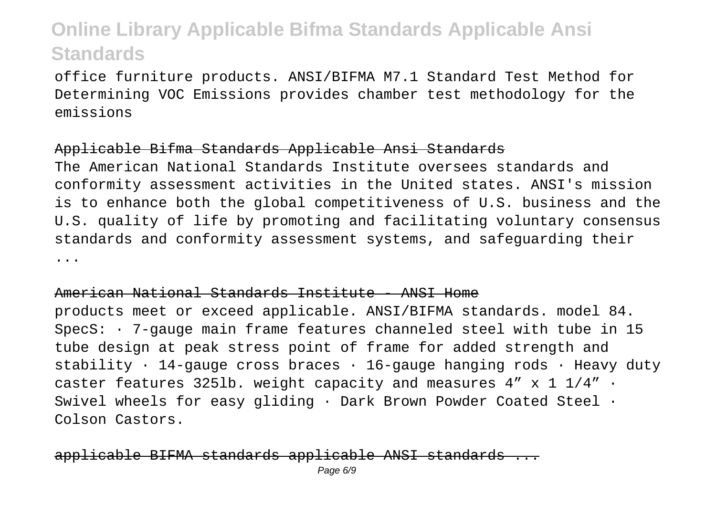office furniture products. ANSI/BIFMA M7.1 Standard Test Method for Determining VOC Emissions provides chamber test methodology for the emissions

### Applicable Bifma Standards Applicable Ansi Standards

The American National Standards Institute oversees standards and conformity assessment activities in the United states. ANSI's mission is to enhance both the global competitiveness of U.S. business and the U.S. quality of life by promoting and facilitating voluntary consensus standards and conformity assessment systems, and safeguarding their ...

### American National Standards Institute - ANSI Home

products meet or exceed applicable. ANSI/BIFMA standards. model 84. SpecS: · 7-gauge main frame features channeled steel with tube in 15 tube design at peak stress point of frame for added strength and stability  $\cdot$  14-gauge cross braces  $\cdot$  16-gauge hanging rods  $\cdot$  Heavy duty caster features 3251b. weight capacity and measures  $4'' \times 1$  1/4"  $\cdot$ Swivel wheels for easy gliding · Dark Brown Powder Coated Steel · Colson Castors.

### <u>-BIFMA standards applicable</u>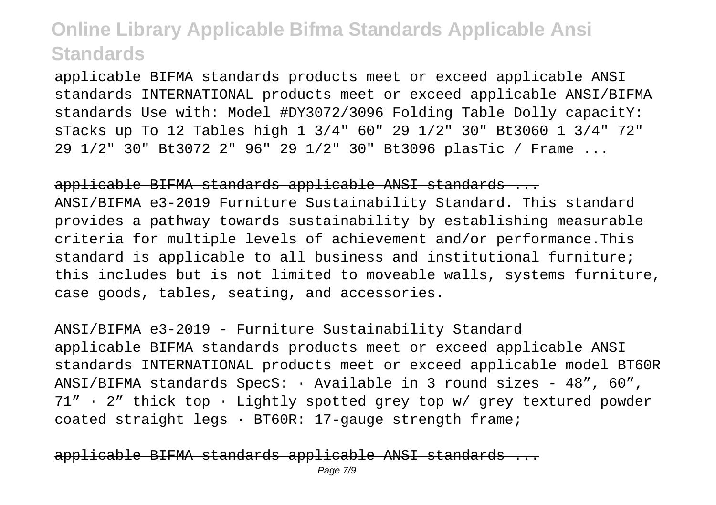applicable BIFMA standards products meet or exceed applicable ANSI standards INTERNATIONAL products meet or exceed applicable ANSI/BIFMA standards Use with: Model #DY3072/3096 Folding Table Dolly capacitY: sTacks up To 12 Tables high 1 3/4" 60" 29 1/2" 30" Bt3060 1 3/4" 72" 29 1/2" 30" Bt3072 2" 96" 29 1/2" 30" Bt3096 plasTic / Frame ...

### applicable BIFMA standards applicable ANSI standards ...

ANSI/BIFMA e3-2019 Furniture Sustainability Standard. This standard provides a pathway towards sustainability by establishing measurable criteria for multiple levels of achievement and/or performance.This standard is applicable to all business and institutional furniture; this includes but is not limited to moveable walls, systems furniture, case goods, tables, seating, and accessories.

### ANSI/BIFMA e3-2019 - Furniture Sustainability Standard

applicable BIFMA standards products meet or exceed applicable ANSI standards INTERNATIONAL products meet or exceed applicable model BT60R ANSI/BIFMA standards SpecS:  $\cdot$  Available in 3 round sizes - 48", 60", 71" · 2" thick top · Lightly spotted grey top w/ grey textured powder coated straight legs · BT60R: 17-gauge strength frame;

### le BIFMA standards applicable ANSI standar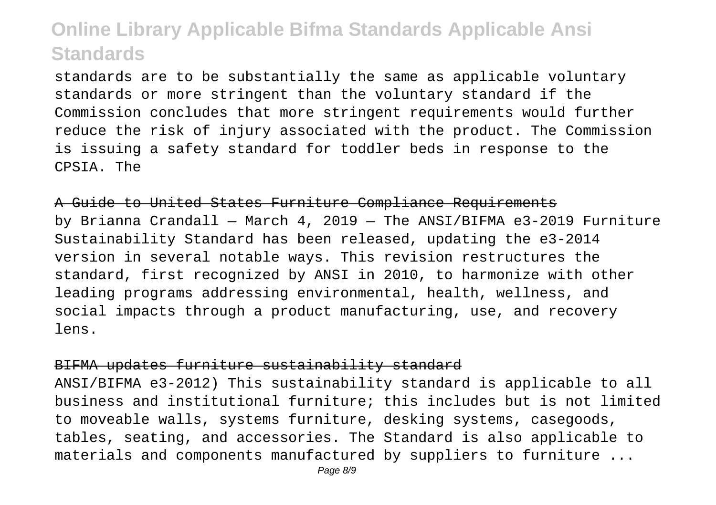standards are to be substantially the same as applicable voluntary standards or more stringent than the voluntary standard if the Commission concludes that more stringent requirements would further reduce the risk of injury associated with the product. The Commission is issuing a safety standard for toddler beds in response to the CPSIA. The

A Guide to United States Furniture Compliance Requirements by Brianna Crandall – March 4, 2019 – The ANSI/BIFMA e3-2019 Furniture Sustainability Standard has been released, updating the e3-2014 version in several notable ways. This revision restructures the standard, first recognized by ANSI in 2010, to harmonize with other leading programs addressing environmental, health, wellness, and social impacts through a product manufacturing, use, and recovery lens.

#### BIFMA updates furniture sustainability standard

ANSI/BIFMA e3-2012) This sustainability standard is applicable to all business and institutional furniture; this includes but is not limited to moveable walls, systems furniture, desking systems, casegoods, tables, seating, and accessories. The Standard is also applicable to materials and components manufactured by suppliers to furniture ...